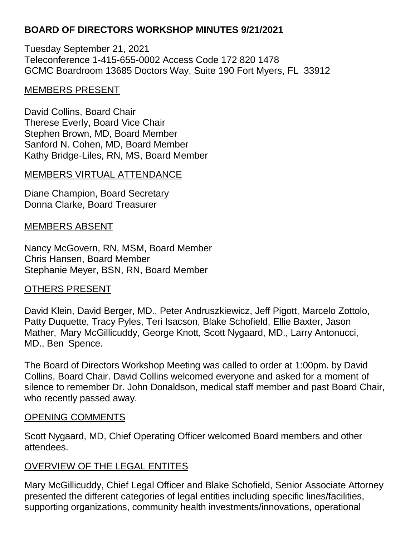## **BOARD OF DIRECTORS WORKSHOP MINUTES 9/21/2021**

Tuesday September 21, 2021 Teleconference 1-415-655-0002 Access Code 172 820 1478 GCMC Boardroom 13685 Doctors Way, Suite 190 Fort Myers, FL 33912

### MEMBERS PRESENT

David Collins, Board Chair Therese Everly, Board Vice Chair Stephen Brown, MD, Board Member Sanford N. Cohen, MD, Board Member Kathy Bridge-Liles, RN, MS, Board Member

### MEMBERS VIRTUAL ATTENDANCE

Diane Champion, Board Secretary Donna Clarke, Board Treasurer

### MEMBERS ABSENT

Nancy McGovern, RN, MSM, Board Member Chris Hansen, Board Member Stephanie Meyer, BSN, RN, Board Member

### OTHERS PRESENT

David Klein, David Berger, MD., Peter Andruszkiewicz, Jeff Pigott, Marcelo Zottolo, Patty Duquette, Tracy Pyles, Teri Isacson, Blake Schofield, Ellie Baxter, Jason Mather, Mary McGillicuddy, George Knott, Scott Nygaard, MD., Larry Antonucci, MD., Ben Spence.

The Board of Directors Workshop Meeting was called to order at 1:00pm. by David Collins, Board Chair. David Collins welcomed everyone and asked for a moment of silence to remember Dr. John Donaldson, medical staff member and past Board Chair, who recently passed away.

### OPENING COMMENTS

Scott Nygaard, MD, Chief Operating Officer welcomed Board members and other attendees.

# OVERVIEW OF THE LEGAL ENTITES

Mary McGillicuddy, Chief Legal Officer and Blake Schofield, Senior Associate Attorney presented the different categories of legal entities including specific lines/facilities, supporting organizations, community health investments/innovations, operational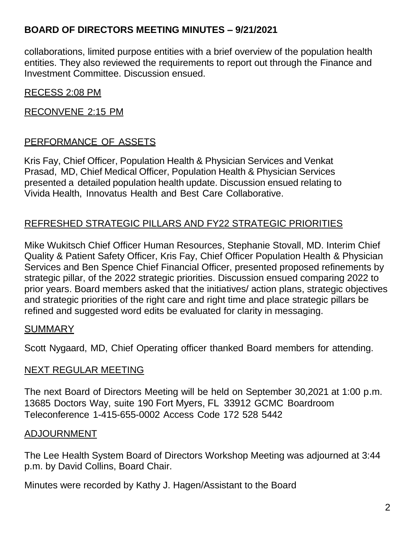# **BOARD OF DIRECTORS MEETING MINUTES – 9/21/2021**

collaborations, limited purpose entities with a brief overview of the population health entities. They also reviewed the requirements to report out through the Finance and Investment Committee. Discussion ensued.

RECESS 2:08 PM

RECONVENE 2:15 PM

# PERFORMANCE OF ASSETS

Kris Fay, Chief Officer, Population Health & Physician Services and Venkat Prasad, MD, Chief Medical Officer, Population Health & Physician Services presented a detailed population health update. Discussion ensued relating to Vivida Health, Innovatus Health and Best Care Collaborative.

### REFRESHED STRATEGIC PILLARS AND FY22 STRATEGIC PRIORITIES

Mike Wukitsch Chief Officer Human Resources, Stephanie Stovall, MD. Interim Chief Quality & Patient Safety Officer, Kris Fay, Chief Officer Population Health & Physician Services and Ben Spence Chief Financial Officer, presented proposed refinements by strategic pillar, of the 2022 strategic priorities. Discussion ensued comparing 2022 to prior years. Board members asked that the initiatives/ action plans, strategic objectives and strategic priorities of the right care and right time and place strategic pillars be refined and suggested word edits be evaluated for clarity in messaging.

### **SUMMARY**

Scott Nygaard, MD, Chief Operating officer thanked Board members for attending.

### NEXT REGULAR MEETING

The next Board of Directors Meeting will be held on September 30,2021 at 1:00 p.m. 13685 Doctors Way, suite 190 Fort Myers, FL 33912 GCMC Boardroom Teleconference 1-415-655-0002 Access Code 172 528 5442

### ADJOURNMENT

The Lee Health System Board of Directors Workshop Meeting was adjourned at 3:44 p.m. by David Collins, Board Chair.

Minutes were recorded by Kathy J. Hagen/Assistant to the Board